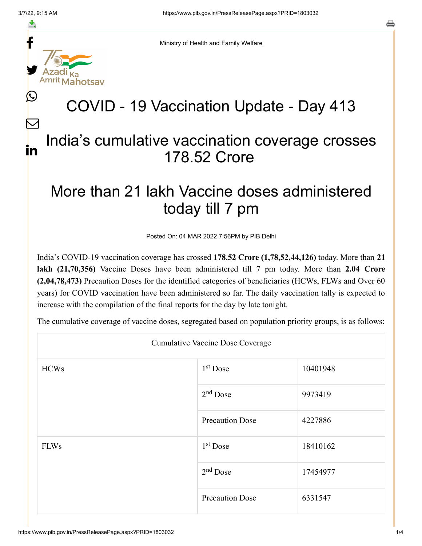f

≛

y.

L

 $\bm{\nabla}$ 

in

Ministry of Health and Family Welfare

## COVID - 19 Vaccination Update - Day 413

## India's cumulative vaccination coverage crosses 178.52 Crore

## More than 21 lakh Vaccine doses administered today till 7 pm

Posted On: 04 MAR 2022 7:56PM by PIB Delhi

India's COVID-19 vaccination coverage has crossed **178.52 Crore (1,78,52,44,126)** today. More than **21 lakh (21,70,356)** Vaccine Doses have been administered till 7 pm today. More than **2.04 Crore (2,04,78,473)** Precaution Doses for the identified categories of beneficiaries (HCWs, FLWs and Over 60 years) for COVID vaccination have been administered so far. The daily vaccination tally is expected to increase with the compilation of the final reports for the day by late tonight.

The cumulative coverage of vaccine doses, segregated based on population priority groups, is as follows:

| <b>Cumulative Vaccine Dose Coverage</b> |                        |          |  |  |
|-----------------------------------------|------------------------|----------|--|--|
| <b>HCWs</b>                             | $1st$ Dose             | 10401948 |  |  |
|                                         | $2nd$ Dose             | 9973419  |  |  |
|                                         | <b>Precaution Dose</b> | 4227886  |  |  |
| <b>FLWs</b>                             | $1st$ Dose             | 18410162 |  |  |
|                                         | $2nd$ Dose             | 17454977 |  |  |
|                                         | <b>Precaution Dose</b> | 6331547  |  |  |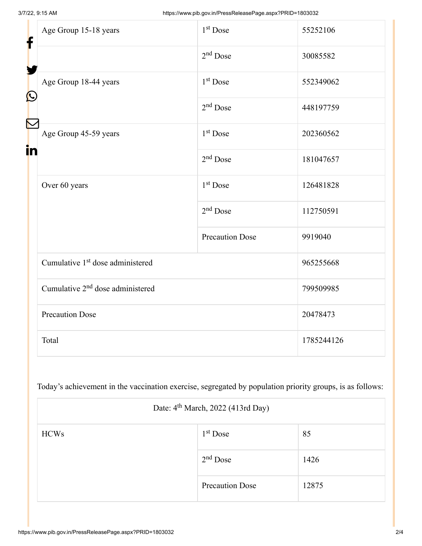| f<br>$\bf \Omega$ | Age Group 15-18 years                        | $1st$ Dose             | 55252106   |
|-------------------|----------------------------------------------|------------------------|------------|
|                   |                                              | $2nd$ Dose             | 30085582   |
|                   | Age Group 18-44 years                        | 1 <sup>st</sup> Dose   | 552349062  |
|                   |                                              | $2nd$ Dose             | 448197759  |
| in                | Age Group 45-59 years                        | 1 <sup>st</sup> Dose   | 202360562  |
|                   |                                              | $2nd$ Dose             | 181047657  |
|                   | Over 60 years                                | 1 <sup>st</sup> Dose   | 126481828  |
|                   |                                              | $2nd$ Dose             | 112750591  |
|                   |                                              | <b>Precaution Dose</b> | 9919040    |
|                   | Cumulative 1 <sup>st</sup> dose administered |                        | 965255668  |
|                   | Cumulative 2 <sup>nd</sup> dose administered |                        | 799509985  |
|                   | <b>Precaution Dose</b>                       |                        | 20478473   |
|                   | Total                                        |                        | 1785244126 |

Today's achievement in the vaccination exercise, segregated by population priority groups, is as follows:

| Date: 4 <sup>th</sup> March, 2022 (413rd Day) |                        |       |  |
|-----------------------------------------------|------------------------|-------|--|
| <b>HCWs</b>                                   | $1st$ Dose             | 85    |  |
|                                               | $2nd$ Dose             | 1426  |  |
|                                               | <b>Precaution Dose</b> | 12875 |  |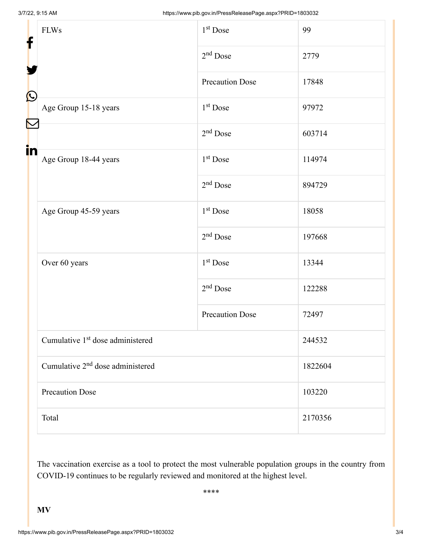| f            | <b>FLWs</b>                                  | $1st$ Dose             | 99      |  |
|--------------|----------------------------------------------|------------------------|---------|--|
|              |                                              | $2nd$ Dose             | 2779    |  |
|              |                                              | <b>Precaution Dose</b> | 17848   |  |
| $\bf \Omega$ | Age Group 15-18 years                        | 1 <sup>st</sup> Dose   | 97972   |  |
|              |                                              | $2nd$ Dose             | 603714  |  |
| in           | Age Group 18-44 years                        | 1 <sup>st</sup> Dose   | 114974  |  |
|              |                                              | $2nd$ Dose             | 894729  |  |
|              | Age Group 45-59 years                        | 1 <sup>st</sup> Dose   | 18058   |  |
|              |                                              | $2nd$ Dose             | 197668  |  |
|              | Over 60 years                                | 1 <sup>st</sup> Dose   | 13344   |  |
|              |                                              | $2nd$ Dose             | 122288  |  |
|              |                                              | <b>Precaution Dose</b> | 72497   |  |
|              | Cumulative 1 <sup>st</sup> dose administered |                        | 244532  |  |
|              | Cumulative 2 <sup>nd</sup> dose administered |                        | 1822604 |  |
|              | <b>Precaution Dose</b>                       |                        | 103220  |  |
|              | Total                                        |                        | 2170356 |  |

The vaccination exercise as a tool to protect the most vulnerable population groups in the country from COVID-19 continues to be regularly reviewed and monitored at the highest level.

\*\*\*\*

**MV**